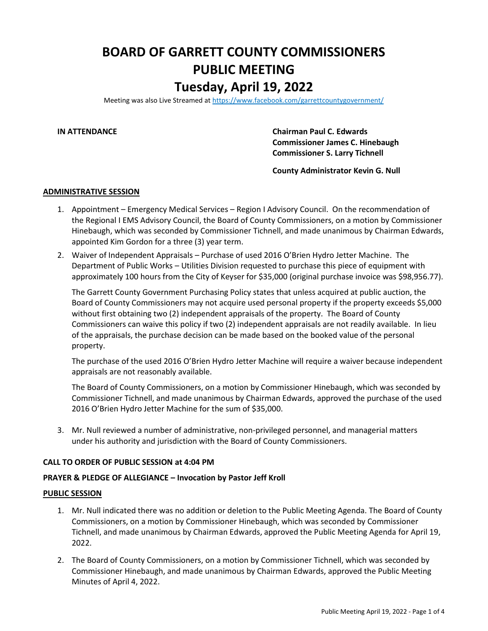# **BOARD OF GARRETT COUNTY COMMISSIONERS PUBLIC MEETING Tuesday, April 19, 2022**

Meeting was also Live Streamed a[t https://www.facebook.com/garrettcountygovernment/](https://www.facebook.com/garrettcountygovernment/)

**IN ATTENDANCE Chairman Paul C. Edwards Commissioner James C. Hinebaugh Commissioner S. Larry Tichnell**

**County Administrator Kevin G. Null**

#### **ADMINISTRATIVE SESSION**

- 1. Appointment Emergency Medical Services Region I Advisory Council. On the recommendation of the Regional I EMS Advisory Council, the Board of County Commissioners, on a motion by Commissioner Hinebaugh, which was seconded by Commissioner Tichnell, and made unanimous by Chairman Edwards, appointed Kim Gordon for a three (3) year term.
- 2. Waiver of Independent Appraisals Purchase of used 2016 O'Brien Hydro Jetter Machine. The Department of Public Works – Utilities Division requested to purchase this piece of equipment with approximately 100 hours from the City of Keyser for \$35,000 (original purchase invoice was \$98,956.77).

The Garrett County Government Purchasing Policy states that unless acquired at public auction, the Board of County Commissioners may not acquire used personal property if the property exceeds \$5,000 without first obtaining two (2) independent appraisals of the property. The Board of County Commissioners can waive this policy if two (2) independent appraisals are not readily available. In lieu of the appraisals, the purchase decision can be made based on the booked value of the personal property.

The purchase of the used 2016 O'Brien Hydro Jetter Machine will require a waiver because independent appraisals are not reasonably available.

The Board of County Commissioners, on a motion by Commissioner Hinebaugh, which was seconded by Commissioner Tichnell, and made unanimous by Chairman Edwards, approved the purchase of the used 2016 O'Brien Hydro Jetter Machine for the sum of \$35,000.

3. Mr. Null reviewed a number of administrative, non-privileged personnel, and managerial matters under his authority and jurisdiction with the Board of County Commissioners.

## **CALL TO ORDER OF PUBLIC SESSION at 4:04 PM**

# **PRAYER & PLEDGE OF ALLEGIANCE – Invocation by Pastor Jeff Kroll**

### **PUBLIC SESSION**

- 1. Mr. Null indicated there was no addition or deletion to the Public Meeting Agenda. The Board of County Commissioners, on a motion by Commissioner Hinebaugh, which was seconded by Commissioner Tichnell, and made unanimous by Chairman Edwards, approved the Public Meeting Agenda for April 19, 2022.
- 2. The Board of County Commissioners, on a motion by Commissioner Tichnell, which was seconded by Commissioner Hinebaugh, and made unanimous by Chairman Edwards, approved the Public Meeting Minutes of April 4, 2022.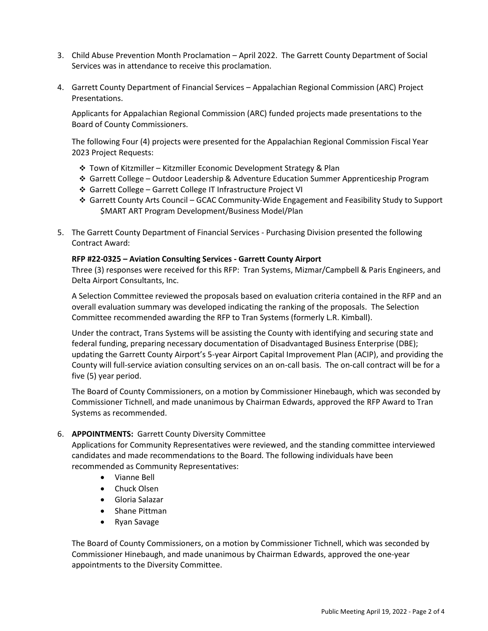- 3. Child Abuse Prevention Month Proclamation April 2022. The Garrett County Department of Social Services was in attendance to receive this proclamation.
- 4. Garrett County Department of Financial Services Appalachian Regional Commission (ARC) Project Presentations.

Applicants for Appalachian Regional Commission (ARC) funded projects made presentations to the Board of County Commissioners.

The following Four (4) projects were presented for the Appalachian Regional Commission Fiscal Year 2023 Project Requests:

- ❖ Town of Kitzmiller Kitzmiller Economic Development Strategy & Plan
- ❖ Garrett College Outdoor Leadership & Adventure Education Summer Apprenticeship Program
- ❖ Garrett College Garrett College IT Infrastructure Project VI
- ❖ Garrett County Arts Council GCAC Community-Wide Engagement and Feasibility Study to Support \$MART ART Program Development/Business Model/Plan
- 5. The Garrett County Department of Financial Services Purchasing Division presented the following Contract Award:

### **RFP #22-0325 – Aviation Consulting Services - Garrett County Airport**

Three (3) responses were received for this RFP: Tran Systems, Mizmar/Campbell & Paris Engineers, and Delta Airport Consultants, Inc.

A Selection Committee reviewed the proposals based on evaluation criteria contained in the RFP and an overall evaluation summary was developed indicating the ranking of the proposals. The Selection Committee recommended awarding the RFP to Tran Systems (formerly L.R. Kimball).

Under the contract, Trans Systems will be assisting the County with identifying and securing state and federal funding, preparing necessary documentation of Disadvantaged Business Enterprise (DBE); updating the Garrett County Airport's 5-year Airport Capital Improvement Plan (ACIP), and providing the County will full-service aviation consulting services on an on-call basis. The on-call contract will be for a five (5) year period.

The Board of County Commissioners, on a motion by Commissioner Hinebaugh, which was seconded by Commissioner Tichnell, and made unanimous by Chairman Edwards, approved the RFP Award to Tran Systems as recommended.

# 6. **APPOINTMENTS:** Garrett County Diversity Committee

Applications for Community Representatives were reviewed, and the standing committee interviewed candidates and made recommendations to the Board. The following individuals have been recommended as Community Representatives:

- Vianne Bell
- Chuck Olsen
- Gloria Salazar
- Shane Pittman
- Ryan Savage

The Board of County Commissioners, on a motion by Commissioner Tichnell, which was seconded by Commissioner Hinebaugh, and made unanimous by Chairman Edwards, approved the one-year appointments to the Diversity Committee.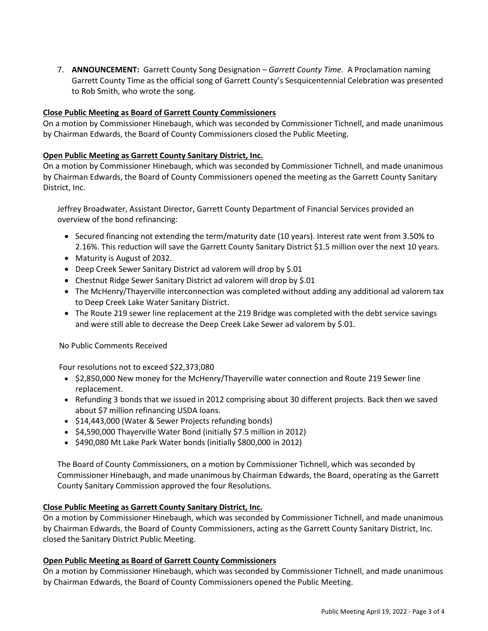7. **ANNOUNCEMENT:** Garrett County Song Designation – *Garrett County Time.* A Proclamation naming Garrett County Time as the official song of Garrett County's Sesquicentennial Celebration was presented to Rob Smith, who wrote the song.

# **Close Public Meeting as Board of Garrett County Commissioners**

On a motion by Commissioner Hinebaugh, which was seconded by Commissioner Tichnell, and made unanimous by Chairman Edwards, the Board of County Commissioners closed the Public Meeting.

# **Open Public Meeting as Garrett County Sanitary District, Inc.**

On a motion by Commissioner Hinebaugh, which was seconded by Commissioner Tichnell, and made unanimous by Chairman Edwards, the Board of County Commissioners opened the meeting as the Garrett County Sanitary District, Inc.

Jeffrey Broadwater, Assistant Director, Garrett County Department of Financial Services provided an overview of the bond refinancing:

- Secured financing not extending the term/maturity date (10 years). Interest rate went from 3.50% to 2.16%. This reduction will save the Garrett County Sanitary District \$1.5 million over the next 10 years.
- Maturity is August of 2032.
- Deep Creek Sewer Sanitary District ad valorem will drop by \$.01
- Chestnut Ridge Sewer Sanitary District ad valorem will drop by \$.01
- The McHenry/Thayerville interconnection was completed without adding any additional ad valorem tax to Deep Creek Lake Water Sanitary District.
- The Route 219 sewer line replacement at the 219 Bridge was completed with the debt service savings and were still able to decrease the Deep Creek Lake Sewer ad valorem by \$.01.

No Public Comments Received

Four resolutions not to exceed \$22,373,080

- \$2,850,000 New money for the McHenry/Thayerville water connection and Route 219 Sewer line replacement.
- Refunding 3 bonds that we issued in 2012 comprising about 30 different projects. Back then we saved about \$7 million refinancing USDA loans.
- \$14,443,000 (Water & Sewer Projects refunding bonds)
- \$4,590,000 Thayerville Water Bond (initially \$7.5 million in 2012)
- \$490,080 Mt Lake Park Water bonds (initially \$800,000 in 2012)

The Board of County Commissioners, on a motion by Commissioner Tichnell, which was seconded by Commissioner Hinebaugh, and made unanimous by Chairman Edwards, the Board, operating as the Garrett County Sanitary Commission approved the four Resolutions.

# **Close Public Meeting as Garrett County Sanitary District, Inc.**

On a motion by Commissioner Hinebaugh, which was seconded by Commissioner Tichnell, and made unanimous by Chairman Edwards, the Board of County Commissioners, acting as the Garrett County Sanitary District, Inc. closed the Sanitary District Public Meeting.

# **Open Public Meeting as Board of Garrett County Commissioners**

On a motion by Commissioner Hinebaugh, which was seconded by Commissioner Tichnell, and made unanimous by Chairman Edwards, the Board of County Commissioners opened the Public Meeting.